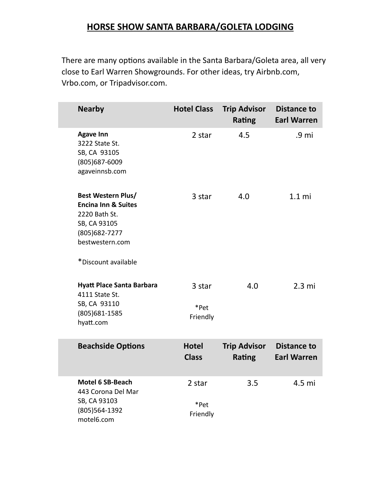## **HORSE SHOW SANTA BARBARA/GOLETA LODGING**

There are many options available in the Santa Barbara/Goleta area, all very close to Earl Warren Showgrounds. For other ideas, try Airbnb.com, Vrbo.com, or Tripadvisor.com.

| <b>Nearby</b>                                                                                                                                     | <b>Hotel Class</b>           | <b>Trip Advisor</b><br><b>Rating</b> | <b>Distance to</b><br><b>Earl Warren</b> |
|---------------------------------------------------------------------------------------------------------------------------------------------------|------------------------------|--------------------------------------|------------------------------------------|
| <b>Agave Inn</b><br>3222 State St.<br>SB, CA 93105<br>(805) 687-6009<br>agaveinnsb.com                                                            | 2 star                       | 4.5                                  | .9 mi                                    |
| Best Western Plus/<br><b>Encina Inn &amp; Suites</b><br>2220 Bath St.<br>SB, CA 93105<br>(805) 682-7277<br>bestwestern.com<br>*Discount available | 3 star                       | 4.0                                  | 1.1 <sub>m</sub>                         |
| <b>Hyatt Place Santa Barbara</b><br>4111 State St.<br>SB, CA 93110<br>(805) 681-1585<br>hyatt.com                                                 | 3 star<br>*Pet<br>Friendly   | 4.0                                  | $2.3 \text{ mi}$                         |
| <b>Beachside Options</b>                                                                                                                          | <b>Hotel</b><br><b>Class</b> | <b>Trip Advisor</b><br><b>Rating</b> | <b>Distance to</b><br><b>Earl Warren</b> |
| Motel 6 SB-Beach<br>443 Corona Del Mar<br>SB, CA 93103<br>(805) 564-1392<br>motel6.com                                                            | 2 star<br>*Pet<br>Friendly   | 3.5                                  | 4.5 mi                                   |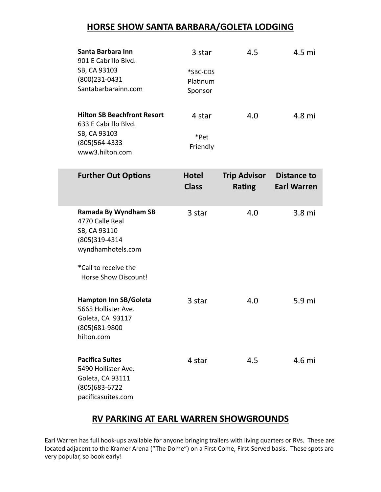## **HORSE SHOW SANTA BARBARA/GOLETA LODGING**

| Santa Barbara Inn<br>901 E Cabrillo Blvd.<br>SB, CA 93103<br>(800)231-0431<br>Santabarbarainn.com                     | 3 star<br>*SBC-CDS<br>Platinum<br>Sponsor | 4.5                                  | 4.5 mi                                   |
|-----------------------------------------------------------------------------------------------------------------------|-------------------------------------------|--------------------------------------|------------------------------------------|
| <b>Hilton SB Beachfront Resort</b><br>633 E Cabrillo Blvd.<br>SB, CA 93103<br>(805) 564-4333<br>www3.hilton.com       | 4 star<br>*Pet<br>Friendly                | 4.0                                  | 4.8 mi                                   |
| <b>Further Out Options</b>                                                                                            | <b>Hotel</b><br><b>Class</b>              | <b>Trip Advisor</b><br><b>Rating</b> | <b>Distance to</b><br><b>Earl Warren</b> |
| Ramada By Wyndham SB<br>4770 Calle Real<br>SB, CA 93110<br>(805)319-4314<br>wyndhamhotels.com<br>*Call to receive the | 3 star                                    | 4.0                                  | 3.8 mi                                   |
| Horse Show Discount!                                                                                                  |                                           |                                      |                                          |
| <b>Hampton Inn SB/Goleta</b><br>5665 Hollister Ave.<br>Goleta, CA 93117<br>(805) 681-9800<br>hilton.com               | 3 star                                    | 4.0                                  | 5.9 mi                                   |
| <b>Pacifica Suites</b><br>5490 Hollister Ave.<br>Goleta, CA 93111<br>(805) 683-6722<br>pacificasuites.com             | 4 star                                    | 4.5                                  | 4.6 mi                                   |

## **RV PARKING AT EARL WARREN SHOWGROUNDS**

Earl Warren has full hook-ups available for anyone bringing trailers with living quarters or RVs. These are located adjacent to the Kramer Arena ("The Dome") on a First-Come, First-Served basis. These spots are very popular, so book early!